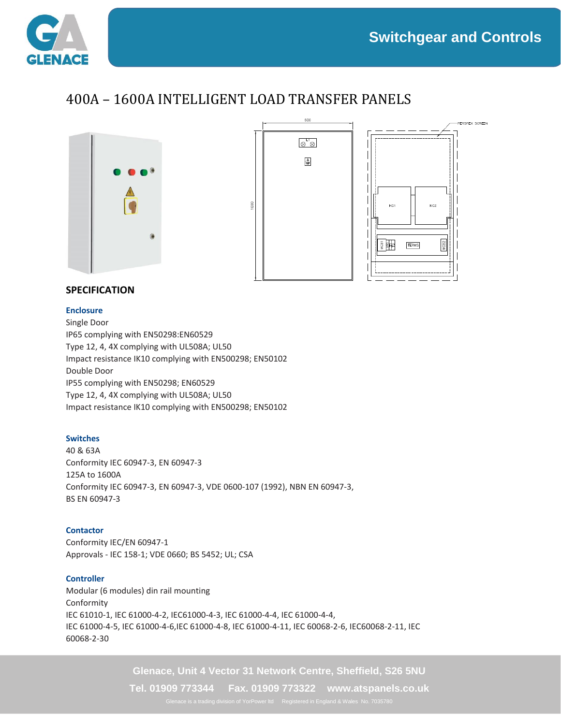$KC2$ 

**TERMS** 

**ERSPEX SCREEN** 



# 400A – 1600A INTELLIGENT LOAD TRANSFER PANELS





# **SPECIFICATION**

### **Enclosure**

Single Door IP65 complying with EN50298:EN60529 Type 12, 4, 4X complying with UL508A; UL50 Impact resistance IK10 complying with EN500298; EN50102 Double Door IP55 complying with EN50298; EN60529 Type 12, 4, 4X complying with UL508A; UL50 Impact resistance IK10 complying with EN500298; EN50102

# **Switches**

40 & 63A Conformity IEC 60947-3, EN 60947-3 125A to 1600A Conformity IEC 60947-3, EN 60947-3, VDE 0600-107 (1992), NBN EN 60947-3, BS EN 60947-3

# **Contactor**

Conformity IEC/EN 60947-1 Approvals - IEC 158-1; VDE 0660; BS 5452; UL; CSA

## **Controller**

Modular (6 modules) din rail mounting Conformity IEC 61010-1, IEC 61000-4-2, IEC61000-4-3, IEC 61000-4-4, IEC 61000-4-4, IEC 61000-4-5, IEC 61000-4-6,IEC 61000-4-8, IEC 61000-4-11, IEC 60068-2-6, IEC60068-2-11, IEC 60068-2-30

**Glenace, Unit 4 Vector 31 Network Centre, Sheffield, S26 5NU**

**Tel. 01909 773344 Fax. 01909 773322 www.atspanels.co.uk**